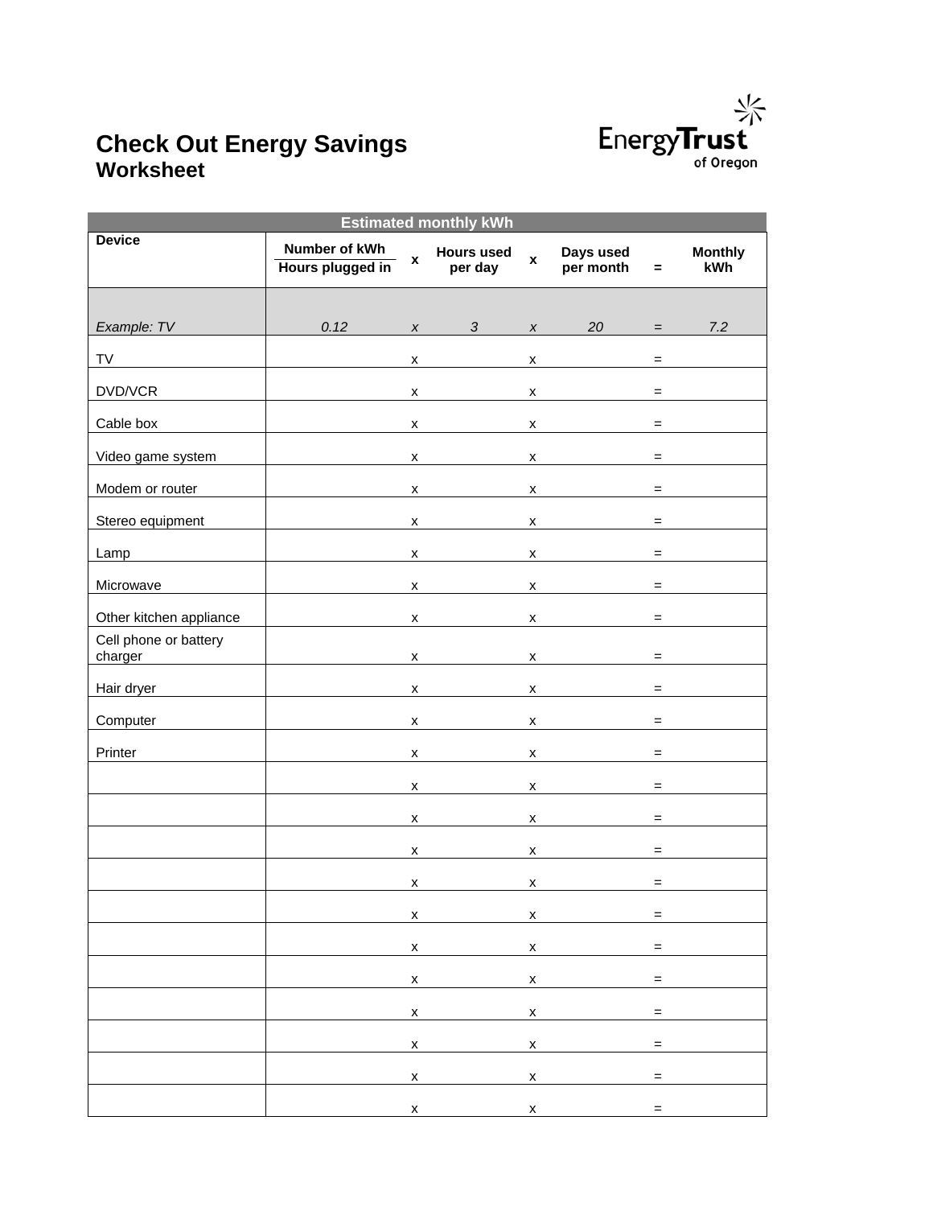

## **Check Out Energy Savings Worksheet**

| <b>Estimated monthly kWh</b>     |                                   |                    |                                                                                                                                                                                                                                                                                                                                 |                                                                                                                                                                                                                                                                                                  |                                                                                                                                                                                                                                                                                                                                                                                                                                   |              |                                       |  |
|----------------------------------|-----------------------------------|--------------------|---------------------------------------------------------------------------------------------------------------------------------------------------------------------------------------------------------------------------------------------------------------------------------------------------------------------------------|--------------------------------------------------------------------------------------------------------------------------------------------------------------------------------------------------------------------------------------------------------------------------------------------------|-----------------------------------------------------------------------------------------------------------------------------------------------------------------------------------------------------------------------------------------------------------------------------------------------------------------------------------------------------------------------------------------------------------------------------------|--------------|---------------------------------------|--|
| <b>Device</b>                    | Number of kWh<br>Hours plugged in | $\pmb{\mathsf{x}}$ | <b>Hours used</b><br>per day                                                                                                                                                                                                                                                                                                    | $\mathbf{x}$                                                                                                                                                                                                                                                                                     | Days used<br>per month                                                                                                                                                                                                                                                                                                                                                                                                            | $=$          | <b>Monthly</b><br><b>kWh</b>          |  |
|                                  |                                   |                    |                                                                                                                                                                                                                                                                                                                                 |                                                                                                                                                                                                                                                                                                  |                                                                                                                                                                                                                                                                                                                                                                                                                                   |              |                                       |  |
| Example: TV                      | 0.12                              |                    | $3 \times$<br>$\boldsymbol{X}$ and $\boldsymbol{X}$                                                                                                                                                                                                                                                                             |                                                                                                                                                                                                                                                                                                  | $20 =$                                                                                                                                                                                                                                                                                                                                                                                                                            |              | 7.2                                   |  |
| <b>TV</b>                        |                                   | X.                 |                                                                                                                                                                                                                                                                                                                                 | $\mathsf{X}$                                                                                                                                                                                                                                                                                     |                                                                                                                                                                                                                                                                                                                                                                                                                                   | $=$          |                                       |  |
| DVD/VCR                          |                                   | x                  |                                                                                                                                                                                                                                                                                                                                 | $\mathsf{X}$ and $\mathsf{X}$ and $\mathsf{X}$ and $\mathsf{X}$ are $\mathsf{X}$ and $\mathsf{X}$ and $\mathsf{X}$ are $\mathsf{X}$ and $\mathsf{X}$ are $\mathsf{X}$ and $\mathsf{X}$ are $\mathsf{X}$ and $\mathsf{X}$ are $\mathsf{X}$ and $\mathsf{X}$ are $\mathsf{X}$ and $\mathsf{X}$ are |                                                                                                                                                                                                                                                                                                                                                                                                                                   | $=$          |                                       |  |
| Cable box                        |                                   | x                  |                                                                                                                                                                                                                                                                                                                                 |                                                                                                                                                                                                                                                                                                  | $\boldsymbol{\mathsf{x}}$                                                                                                                                                                                                                                                                                                                                                                                                         | $=$          |                                       |  |
| Video game system                |                                   | x                  |                                                                                                                                                                                                                                                                                                                                 |                                                                                                                                                                                                                                                                                                  | $\mathsf{X}$                                                                                                                                                                                                                                                                                                                                                                                                                      |              | $\equiv$ 100 km s $^{-1}$ .           |  |
| Modem or router                  |                                   | x                  |                                                                                                                                                                                                                                                                                                                                 |                                                                                                                                                                                                                                                                                                  | $\boldsymbol{\mathsf{x}}$                                                                                                                                                                                                                                                                                                                                                                                                         |              |                                       |  |
| Stereo equipment                 |                                   | x                  |                                                                                                                                                                                                                                                                                                                                 |                                                                                                                                                                                                                                                                                                  | $\mathsf{X}$                                                                                                                                                                                                                                                                                                                                                                                                                      |              | $\equiv$ 100 minutes and 100 minutes. |  |
| Lamp                             |                                   | x                  |                                                                                                                                                                                                                                                                                                                                 |                                                                                                                                                                                                                                                                                                  | $\boldsymbol{\mathsf{x}}$                                                                                                                                                                                                                                                                                                                                                                                                         | $=$          |                                       |  |
| Microwave                        |                                   | x                  |                                                                                                                                                                                                                                                                                                                                 | <b>X</b>                                                                                                                                                                                                                                                                                         |                                                                                                                                                                                                                                                                                                                                                                                                                                   | $=$          |                                       |  |
| Other kitchen appliance          |                                   | x                  |                                                                                                                                                                                                                                                                                                                                 | X.                                                                                                                                                                                                                                                                                               |                                                                                                                                                                                                                                                                                                                                                                                                                                   | $=$          |                                       |  |
| Cell phone or battery<br>charger |                                   | x                  |                                                                                                                                                                                                                                                                                                                                 |                                                                                                                                                                                                                                                                                                  | $\boldsymbol{\mathsf{x}}$                                                                                                                                                                                                                                                                                                                                                                                                         | $=$          |                                       |  |
| Hair dryer                       |                                   | x                  |                                                                                                                                                                                                                                                                                                                                 | $\mathsf{X}$                                                                                                                                                                                                                                                                                     |                                                                                                                                                                                                                                                                                                                                                                                                                                   | $=$          |                                       |  |
| Computer                         |                                   | X                  |                                                                                                                                                                                                                                                                                                                                 | $\mathsf{X}$                                                                                                                                                                                                                                                                                     |                                                                                                                                                                                                                                                                                                                                                                                                                                   | $=$          |                                       |  |
| Printer                          |                                   | X                  |                                                                                                                                                                                                                                                                                                                                 | $\mathsf{X}$                                                                                                                                                                                                                                                                                     |                                                                                                                                                                                                                                                                                                                                                                                                                                   | $=$          |                                       |  |
|                                  |                                   | x                  |                                                                                                                                                                                                                                                                                                                                 |                                                                                                                                                                                                                                                                                                  | $\boldsymbol{\mathsf{x}}$                                                                                                                                                                                                                                                                                                                                                                                                         |              | $\equiv$ 100 minutes of $\sim$        |  |
|                                  |                                   | x                  |                                                                                                                                                                                                                                                                                                                                 |                                                                                                                                                                                                                                                                                                  | $\mathsf{x}$ and $\mathsf{y}$ and $\mathsf{y}$ and $\mathsf{y}$ and $\mathsf{y}$ and $\mathsf{y}$ and $\mathsf{y}$ and $\mathsf{y}$ and $\mathsf{y}$ and $\mathsf{y}$ and $\mathsf{y}$ and $\mathsf{y}$ and $\mathsf{y}$ and $\mathsf{y}$ and $\mathsf{y}$ and $\mathsf{y}$ and $\mathsf{y}$ and                                                                                                                                  | $=$          |                                       |  |
|                                  |                                   | x                  |                                                                                                                                                                                                                                                                                                                                 |                                                                                                                                                                                                                                                                                                  | $\boldsymbol{\mathsf{X}}$ and $\boldsymbol{\mathsf{X}}$ and $\boldsymbol{\mathsf{X}}$ and $\boldsymbol{\mathsf{X}}$ and $\boldsymbol{\mathsf{X}}$ and $\boldsymbol{\mathsf{X}}$ and $\boldsymbol{\mathsf{X}}$ and $\boldsymbol{\mathsf{X}}$ and $\boldsymbol{\mathsf{X}}$ and $\boldsymbol{\mathsf{X}}$ and $\boldsymbol{\mathsf{X}}$ and $\boldsymbol{\mathsf{X}}$ and $\boldsymbol{\mathsf{X}}$ and $\boldsymbol{\mathsf{X}}$ a | $=$          |                                       |  |
|                                  |                                   | x                  |                                                                                                                                                                                                                                                                                                                                 |                                                                                                                                                                                                                                                                                                  | $\boldsymbol{\mathsf{X}}$                                                                                                                                                                                                                                                                                                                                                                                                         | $=$ $\,$     |                                       |  |
|                                  |                                   |                    | $x =$                                                                                                                                                                                                                                                                                                                           |                                                                                                                                                                                                                                                                                                  |                                                                                                                                                                                                                                                                                                                                                                                                                                   |              |                                       |  |
|                                  |                                   |                    | $x =$                                                                                                                                                                                                                                                                                                                           |                                                                                                                                                                                                                                                                                                  |                                                                                                                                                                                                                                                                                                                                                                                                                                   |              |                                       |  |
|                                  |                                   |                    | $x =$                                                                                                                                                                                                                                                                                                                           |                                                                                                                                                                                                                                                                                                  |                                                                                                                                                                                                                                                                                                                                                                                                                                   |              |                                       |  |
|                                  |                                   |                    | $\mathsf{x}$ x                                                                                                                                                                                                                                                                                                                  |                                                                                                                                                                                                                                                                                                  |                                                                                                                                                                                                                                                                                                                                                                                                                                   | $=$          |                                       |  |
|                                  |                                   |                    | $\mathsf X$ and $\mathsf X$ and $\mathsf X$ are $\mathsf X$ and $\mathsf X$ are $\mathsf X$ and $\mathsf X$ are $\mathsf X$ and $\mathsf X$ are $\mathsf X$ and $\mathsf X$ are $\mathsf X$ and $\mathsf X$ are $\mathsf X$ and $\mathsf X$ are $\mathsf X$ and $\mathsf X$ are $\mathsf X$ and $\mathsf X$ are $\mathsf X$ and |                                                                                                                                                                                                                                                                                                  | $\mathsf{X}$                                                                                                                                                                                                                                                                                                                                                                                                                      | <b>E</b> and |                                       |  |
|                                  |                                   |                    | $\mathsf{X}$ and $\mathsf{X}$ and $\mathsf{X}$ and $\mathsf{X}$                                                                                                                                                                                                                                                                 |                                                                                                                                                                                                                                                                                                  | $\boldsymbol{X}$                                                                                                                                                                                                                                                                                                                                                                                                                  | $\equiv$     |                                       |  |
|                                  |                                   |                    | $\mathsf{X}$ and $\mathsf{X}$ and $\mathsf{X}$ and $\mathsf{X}$                                                                                                                                                                                                                                                                 |                                                                                                                                                                                                                                                                                                  | $\mathsf{X}$ and $\mathsf{X}$ and $\mathsf{X}$ and $\mathsf{X}$ are $\mathsf{X}$ and $\mathsf{X}$ and $\mathsf{X}$ are $\mathsf{X}$ and $\mathsf{X}$ are $\mathsf{X}$ and $\mathsf{X}$ are $\mathsf{X}$ and $\mathsf{X}$ are $\mathsf{X}$ and $\mathsf{X}$ are $\mathsf{X}$ and $\mathsf{X}$ are                                                                                                                                  | $=$          |                                       |  |